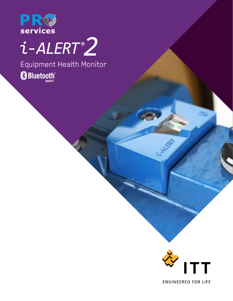

# $i$ -ALERT $2$

Equipment Health MonitorBluetooth®

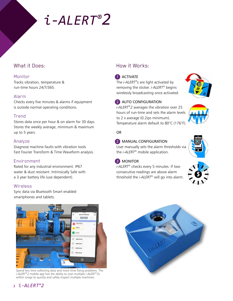## *i*-*ALERT®2*

#### What it Does:

#### Monitor

Tracks vibration, temperature & run-time hours 24/7/365.

#### Alarm

Checks every five minutes & alarms if equipment is outside normal operating conditions.

#### Trend

Stores data once per hour & on alarm for 30 days. Stores the weekly average, minimum & maximum up to 5 years.

#### Analyze

Diagnose machine faults with vibration tools Fast Fourier Transform & Time Waveform analysis.

#### Environment

Rated for any industrial environment. IP67 water & dust resistant. Intrinsically Safe with a 3 year battery life (use dependent).

#### Wireless

Sync data via Bluetooth Smart enabled smartphones and tablets.

### How it Works:

#### **1** ACTIVATE

The *i-ALERT®s* are light activated by removing the sticker. *i-ALERT®* begins wirelessly broadcasting once activated.



#### 2 AUTO CONFIGURATION

*i-ALERT®2* averages the vibration over 25 hours of run-time and sets the alarm levels to 2 x average (0.2ips minimum). Temperature alarm default to 80°C (176°F).



#### **2** MANUAL CONFIGURATION

User manually sets the alarm thresholds via the *i-ALERT®* mobile application.



#### 3 MONITOR

*i-ALERT®* checks every 5 minutes. If two consecutive readings are above alarm threshold the *i-ALERT®* will go into alarm.





Spend less time collecting data and more time fixing problems. The *i-ALERT®2* mobile app has the ability to scan multiple *i-ALERT®2*s within range to quickly and safely inspect multiple machines.



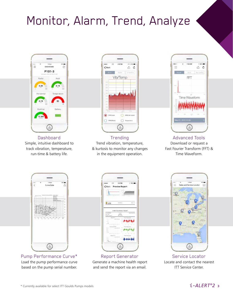### Monitor, Alarm, Trend, Analyze



**Dashboard** Simple, intuitive dashboard to track vibration, temperature, run-time & battery life.



Trending Trend vibration, temperature, & kurtosis to monitor any changes in the equipment operation.



Advanced Tools Download or request a Fast Fourier Transform (FFT) & Time WaveForm.



Pump Performance Curve\* Load the pump performance curve based on the pump serial number.



Report Generator Generate a machine health report and send the report via an email.



Service Locator Locate and contact the nearest **ITT Service Center.**